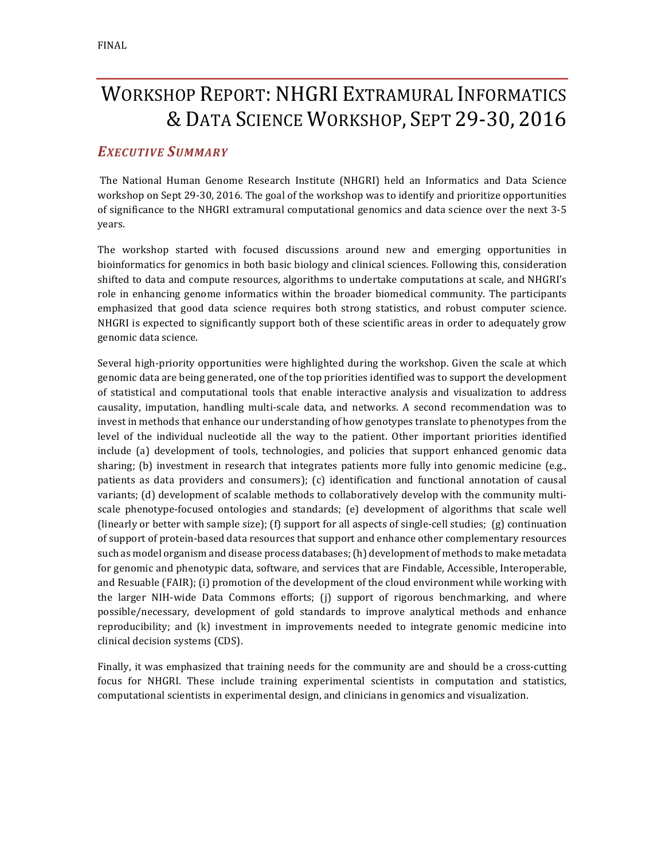# WORKSHOP REPORT: NHGRI EXTRAMURAL INFORMATICS & DATA SCIENCE WORKSHOP, SEPT 29-30, 2016

# *EXECUTIVE SUMMARY*

The National Human Genome Research Institute (NHGRI) held an Informatics and Data Science workshop on Sept 29-30, 2016. The goal of the workshop was to identify and prioritize opportunities of significance to the NHGRI extramural computational genomics and data science over the next 3-5 years.

The workshop started with focused discussions around new and emerging opportunities in bioinformatics for genomics in both basic biology and clinical sciences. Following this, consideration shifted to data and compute resources, algorithms to undertake computations at scale, and NHGRI's role in enhancing genome informatics within the broader biomedical community. The participants emphasized that good data science requires both strong statistics, and robust computer science. NHGRI is expected to significantly support both of these scientific areas in order to adequately grow genomic data science.

Several high-priority opportunities were highlighted during the workshop. Given the scale at which genomic data are being generated, one of the top priorities identified was to support the development of statistical and computational tools that enable interactive analysis and visualization to address causality, imputation, handling multi-scale data, and networks. A second recommendation was to invest in methods that enhance our understanding of how genotypes translate to phenotypes from the level of the individual nucleotide all the way to the patient. Other important priorities identified include (a) development of tools, technologies, and policies that support enhanced genomic data sharing; (b) investment in research that integrates patients more fully into genomic medicine (e.g., patients as data providers and consumers); (c) identification and functional annotation of causal variants; (d) development of scalable methods to collaboratively develop with the community multiscale phenotype-focused ontologies and standards; (e) development of algorithms that scale well (linearly or better with sample size); (f) support for all aspects of single-cell studies; (g) continuation of support of protein-based data resources that support and enhance other complementary resources such as model organism and disease process databases; (h) development of methods to make metadata for genomic and phenotypic data, software, and services that are Findable, Accessible, Interoperable, and Resuable (FAIR); (i) promotion of the development of the cloud environment while working with the larger NIH-wide Data Commons efforts;  $(i)$  support of rigorous benchmarking, and where possible/necessary, development of gold standards to improve analytical methods and enhance reproducibility; and  $(k)$  investment in improvements needed to integrate genomic medicine into clinical decision systems (CDS).

Finally, it was emphasized that training needs for the community are and should be a cross-cutting focus for NHGRI. These include training experimental scientists in computation and statistics, computational scientists in experimental design, and clinicians in genomics and visualization.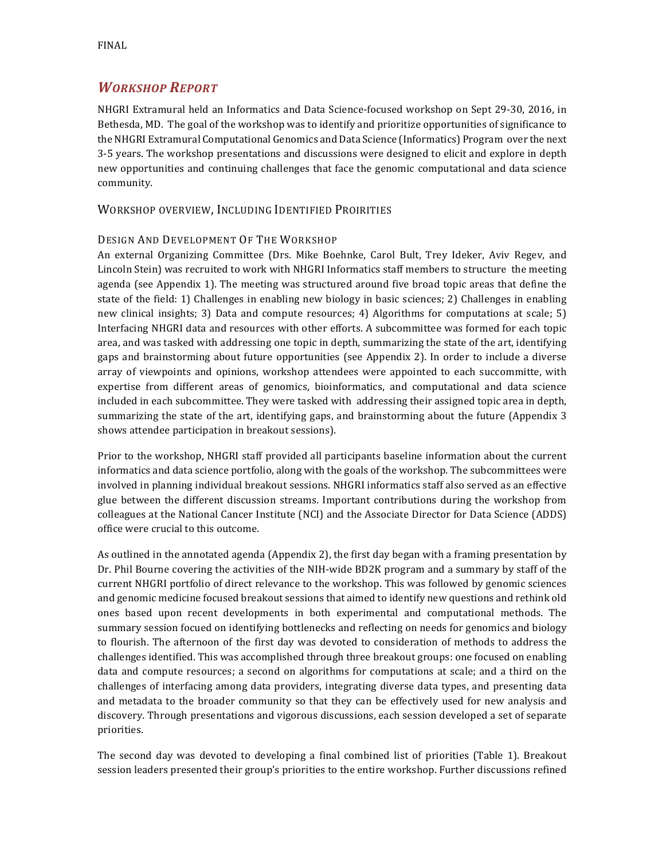# *WORKSHOP REPORT*

NHGRI Extramural held an Informatics and Data Science-focused workshop on Sept 29-30, 2016, in Bethesda, MD. The goal of the workshop was to identify and prioritize opportunities of significance to the NHGRI Extramural Computational Genomics and Data Science (Informatics) Program over the next 3-5 years. The workshop presentations and discussions were designed to elicit and explore in depth new opportunities and continuing challenges that face the genomic computational and data science community. 

#### WORKSHOP OVERVIEW, INCLUDING IDENTIFIED PROIRITIES

#### DESIGN AND DEVELOPMENT OF THE WORKSHOP

An external Organizing Committee (Drs. Mike Boehnke, Carol Bult, Trey Ideker, Aviv Regev, and Lincoln Stein) was recruited to work with NHGRI Informatics staff members to structure the meeting agenda (see Appendix 1). The meeting was structured around five broad topic areas that define the state of the field: 1) Challenges in enabling new biology in basic sciences; 2) Challenges in enabling new clinical insights; 3) Data and compute resources; 4) Algorithms for computations at scale; 5) Interfacing NHGRI data and resources with other efforts. A subcommittee was formed for each topic area, and was tasked with addressing one topic in depth, summarizing the state of the art, identifying gaps and brainstorming about future opportunities (see Appendix 2). In order to include a diverse array of viewpoints and opinions, workshop attendees were appointed to each succommitte, with expertise from different areas of genomics, bioinformatics, and computational and data science included in each subcommittee. They were tasked with addressing their assigned topic area in depth, summarizing the state of the art, identifying gaps, and brainstorming about the future (Appendix 3 shows attendee participation in breakout sessions).

Prior to the workshop, NHGRI staff provided all participants baseline information about the current informatics and data science portfolio, along with the goals of the workshop. The subcommittees were involved in planning individual breakout sessions. NHGRI informatics staff also served as an effective glue between the different discussion streams. Important contributions during the workshop from colleagues at the National Cancer Institute (NCI) and the Associate Director for Data Science (ADDS) office were crucial to this outcome.

As outlined in the annotated agenda (Appendix 2), the first day began with a framing presentation by Dr. Phil Bourne covering the activities of the NIH-wide BD2K program and a summary by staff of the current NHGRI portfolio of direct relevance to the workshop. This was followed by genomic sciences and genomic medicine focused breakout sessions that aimed to identify new questions and rethink old ones based upon recent developments in both experimental and computational methods. The summary session focued on identifying bottlenecks and reflecting on needs for genomics and biology to flourish. The afternoon of the first day was devoted to consideration of methods to address the challenges identified. This was accomplished through three breakout groups: one focused on enabling data and compute resources; a second on algorithms for computations at scale; and a third on the challenges of interfacing among data providers, integrating diverse data types, and presenting data and metadata to the broader community so that they can be effectively used for new analysis and discovery. Through presentations and vigorous discussions, each session developed a set of separate priorities. 

The second day was devoted to developing a final combined list of priorities (Table 1). Breakout session leaders presented their group's priorities to the entire workshop. Further discussions refined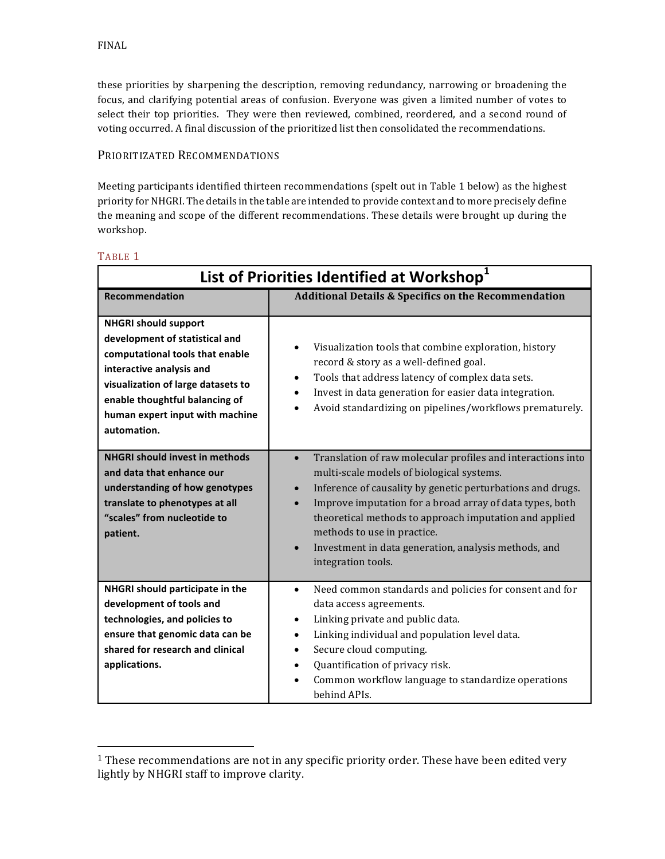these priorities by sharpening the description, removing redundancy, narrowing or broadening the focus, and clarifying potential areas of confusion. Everyone was given a limited number of votes to select their top priorities. They were then reviewed, combined, reordered, and a second round of voting occurred. A final discussion of the prioritized list then consolidated the recommendations.

### PRIORITIZATED RECOMMENDATIONS

 

Meeting participants identified thirteen recommendations (spelt out in Table 1 below) as the highest priority for NHGRI. The details in the table are intended to provide context and to more precisely define the meaning and scope of the different recommendations. These details were brought up during the workshop.

| List of Priorities Identified at Workshop <sup>1</sup>                                                                                                                                                                                                 |                                                                                                                                                                                                                                                                                                                                                                                                                                                  |  |
|--------------------------------------------------------------------------------------------------------------------------------------------------------------------------------------------------------------------------------------------------------|--------------------------------------------------------------------------------------------------------------------------------------------------------------------------------------------------------------------------------------------------------------------------------------------------------------------------------------------------------------------------------------------------------------------------------------------------|--|
| <b>Recommendation</b>                                                                                                                                                                                                                                  | <b>Additional Details &amp; Specifics on the Recommendation</b>                                                                                                                                                                                                                                                                                                                                                                                  |  |
| <b>NHGRI should support</b><br>development of statistical and<br>computational tools that enable<br>interactive analysis and<br>visualization of large datasets to<br>enable thoughtful balancing of<br>human expert input with machine<br>automation. | Visualization tools that combine exploration, history<br>record & story as a well-defined goal.<br>Tools that address latency of complex data sets.<br>$\bullet$<br>Invest in data generation for easier data integration.<br>$\bullet$<br>Avoid standardizing on pipelines/workflows prematurely.<br>$\bullet$                                                                                                                                  |  |
| <b>NHGRI should invest in methods</b><br>and data that enhance our<br>understanding of how genotypes<br>translate to phenotypes at all<br>"scales" from nucleotide to<br>patient.                                                                      | Translation of raw molecular profiles and interactions into<br>$\bullet$<br>multi-scale models of biological systems.<br>Inference of causality by genetic perturbations and drugs.<br>$\bullet$<br>Improve imputation for a broad array of data types, both<br>theoretical methods to approach imputation and applied<br>methods to use in practice.<br>Investment in data generation, analysis methods, and<br>$\bullet$<br>integration tools. |  |
| NHGRI should participate in the<br>development of tools and<br>technologies, and policies to<br>ensure that genomic data can be<br>shared for research and clinical<br>applications.                                                                   | Need common standards and policies for consent and for<br>$\bullet$<br>data access agreements.<br>Linking private and public data.<br>$\bullet$<br>Linking individual and population level data.<br>$\bullet$<br>Secure cloud computing.<br>$\bullet$<br>Quantification of privacy risk.<br>$\bullet$<br>Common workflow language to standardize operations<br>behind APIs.                                                                      |  |

#### TABLE 1

 $1$  These recommendations are not in any specific priority order. These have been edited very lightly by NHGRI staff to improve clarity.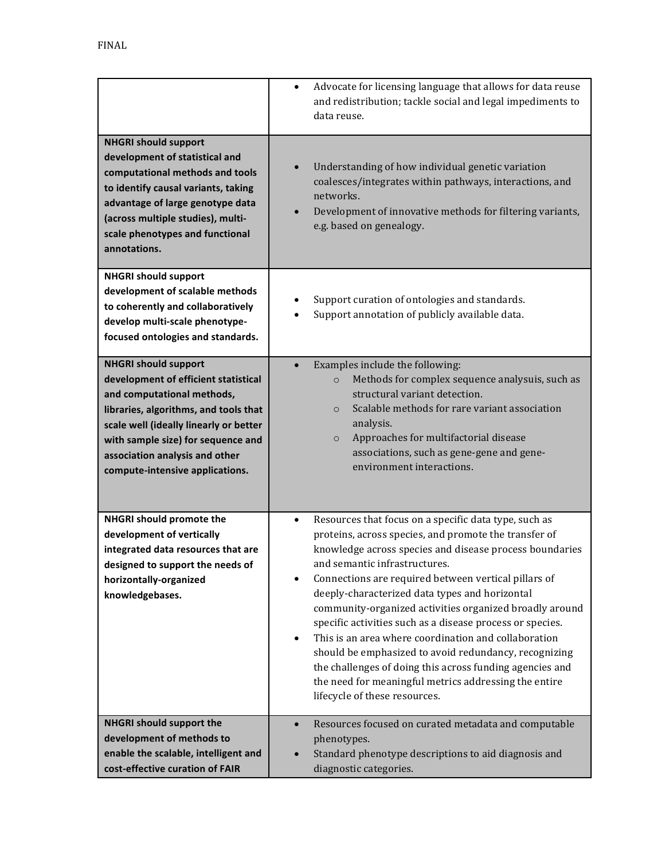|                                                                                                                                                                                                                                                                                                 | Advocate for licensing language that allows for data reuse<br>$\bullet$<br>and redistribution; tackle social and legal impediments to<br>data reuse.                                                                                                                                                                                                                                                                                                                                                                                                                                                                                                                                                                                          |
|-------------------------------------------------------------------------------------------------------------------------------------------------------------------------------------------------------------------------------------------------------------------------------------------------|-----------------------------------------------------------------------------------------------------------------------------------------------------------------------------------------------------------------------------------------------------------------------------------------------------------------------------------------------------------------------------------------------------------------------------------------------------------------------------------------------------------------------------------------------------------------------------------------------------------------------------------------------------------------------------------------------------------------------------------------------|
| <b>NHGRI should support</b><br>development of statistical and<br>computational methods and tools<br>to identify causal variants, taking<br>advantage of large genotype data<br>(across multiple studies), multi-<br>scale phenotypes and functional<br>annotations.                             | Understanding of how individual genetic variation<br>coalesces/integrates within pathways, interactions, and<br>networks.<br>Development of innovative methods for filtering variants,<br>$\bullet$<br>e.g. based on genealogy.                                                                                                                                                                                                                                                                                                                                                                                                                                                                                                               |
| <b>NHGRI should support</b><br>development of scalable methods<br>to coherently and collaboratively<br>develop multi-scale phenotype-<br>focused ontologies and standards.                                                                                                                      | Support curation of ontologies and standards.<br>Support annotation of publicly available data.                                                                                                                                                                                                                                                                                                                                                                                                                                                                                                                                                                                                                                               |
| <b>NHGRI should support</b><br>development of efficient statistical<br>and computational methods,<br>libraries, algorithms, and tools that<br>scale well (ideally linearly or better<br>with sample size) for sequence and<br>association analysis and other<br>compute-intensive applications. | Examples include the following:<br>$\bullet$<br>Methods for complex sequence analysuis, such as<br>$\circ$<br>structural variant detection.<br>Scalable methods for rare variant association<br>$\circ$<br>analysis.<br>Approaches for multifactorial disease<br>$\circ$<br>associations, such as gene-gene and gene-<br>environment interactions.                                                                                                                                                                                                                                                                                                                                                                                            |
| NHGRI should promote the<br>development of vertically<br>integrated data resources that are<br>designed to support the needs of<br>horizontally-organized<br>knowledgebases.                                                                                                                    | Resources that focus on a specific data type, such as<br>$\bullet$<br>proteins, across species, and promote the transfer of<br>knowledge across species and disease process boundaries<br>and semantic infrastructures.<br>Connections are required between vertical pillars of<br>deeply-characterized data types and horizontal<br>community-organized activities organized broadly around<br>specific activities such as a disease process or species.<br>This is an area where coordination and collaboration<br>$\bullet$<br>should be emphasized to avoid redundancy, recognizing<br>the challenges of doing this across funding agencies and<br>the need for meaningful metrics addressing the entire<br>lifecycle of these resources. |
| <b>NHGRI should support the</b><br>development of methods to<br>enable the scalable, intelligent and<br>cost-effective curation of FAIR                                                                                                                                                         | Resources focused on curated metadata and computable<br>$\bullet$<br>phenotypes.<br>Standard phenotype descriptions to aid diagnosis and<br>diagnostic categories.                                                                                                                                                                                                                                                                                                                                                                                                                                                                                                                                                                            |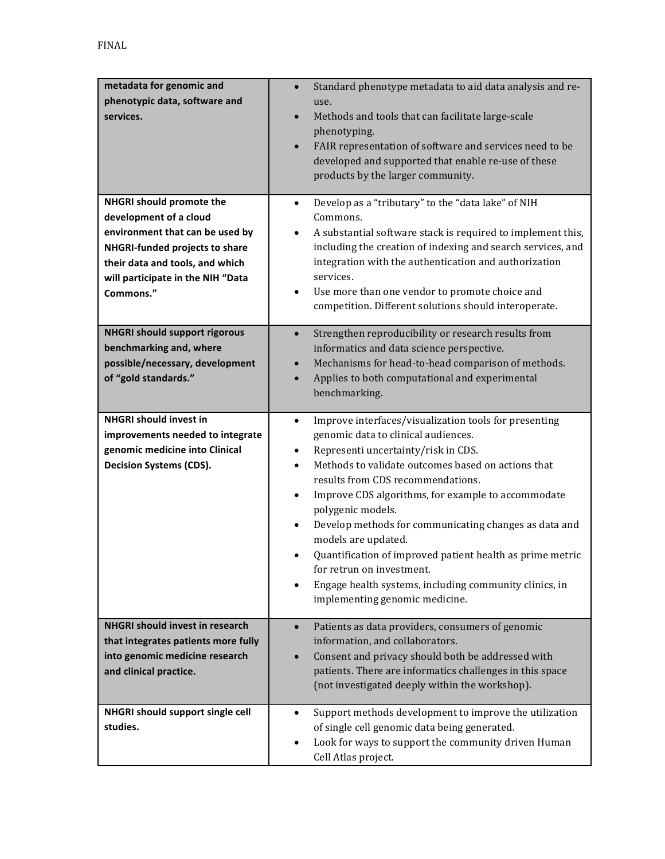| metadata for genomic and<br>phenotypic data, software and<br>services.<br>NHGRI should promote the                                                                               | Standard phenotype metadata to aid data analysis and re-<br>use.<br>Methods and tools that can facilitate large-scale<br>$\bullet$<br>phenotyping.<br>FAIR representation of software and services need to be<br>$\bullet$<br>developed and supported that enable re-use of these<br>products by the larger community.<br>Develop as a "tributary" to the "data lake" of NIH<br>$\bullet$                                                                                                                                                                                                                                                                                  |
|----------------------------------------------------------------------------------------------------------------------------------------------------------------------------------|----------------------------------------------------------------------------------------------------------------------------------------------------------------------------------------------------------------------------------------------------------------------------------------------------------------------------------------------------------------------------------------------------------------------------------------------------------------------------------------------------------------------------------------------------------------------------------------------------------------------------------------------------------------------------|
| development of a cloud<br>environment that can be used by<br>NHGRI-funded projects to share<br>their data and tools, and which<br>will participate in the NIH "Data<br>Commons." | Commons.<br>A substantial software stack is required to implement this,<br>$\bullet$<br>including the creation of indexing and search services, and<br>integration with the authentication and authorization<br>services.<br>Use more than one vendor to promote choice and<br>$\bullet$<br>competition. Different solutions should interoperate.                                                                                                                                                                                                                                                                                                                          |
| <b>NHGRI should support rigorous</b><br>benchmarking and, where<br>possible/necessary, development<br>of "gold standards."                                                       | Strengthen reproducibility or research results from<br>$\bullet$<br>informatics and data science perspective.<br>Mechanisms for head-to-head comparison of methods.<br>$\bullet$<br>Applies to both computational and experimental<br>$\bullet$<br>benchmarking.                                                                                                                                                                                                                                                                                                                                                                                                           |
| <b>NHGRI should invest in</b><br>improvements needed to integrate<br>genomic medicine into Clinical<br><b>Decision Systems (CDS).</b>                                            | Improve interfaces/visualization tools for presenting<br>$\bullet$<br>genomic data to clinical audiences.<br>Representi uncertainty/risk in CDS.<br>$\bullet$<br>Methods to validate outcomes based on actions that<br>$\bullet$<br>results from CDS recommendations.<br>Improve CDS algorithms, for example to accommodate<br>$\bullet$<br>polygenic models.<br>Develop methods for communicating changes as data and<br>$\bullet$<br>models are updated.<br>Quantification of improved patient health as prime metric<br>$\bullet$<br>for retrun on investment.<br>Engage health systems, including community clinics, in<br>$\bullet$<br>implementing genomic medicine. |
| <b>NHGRI should invest in research</b><br>that integrates patients more fully<br>into genomic medicine research<br>and clinical practice.                                        | Patients as data providers, consumers of genomic<br>$\bullet$<br>information, and collaborators.<br>Consent and privacy should both be addressed with<br>$\bullet$<br>patients. There are informatics challenges in this space<br>(not investigated deeply within the workshop).                                                                                                                                                                                                                                                                                                                                                                                           |
| NHGRI should support single cell<br>studies.                                                                                                                                     | Support methods development to improve the utilization<br>$\bullet$<br>of single cell genomic data being generated.<br>Look for ways to support the community driven Human<br>Cell Atlas project.                                                                                                                                                                                                                                                                                                                                                                                                                                                                          |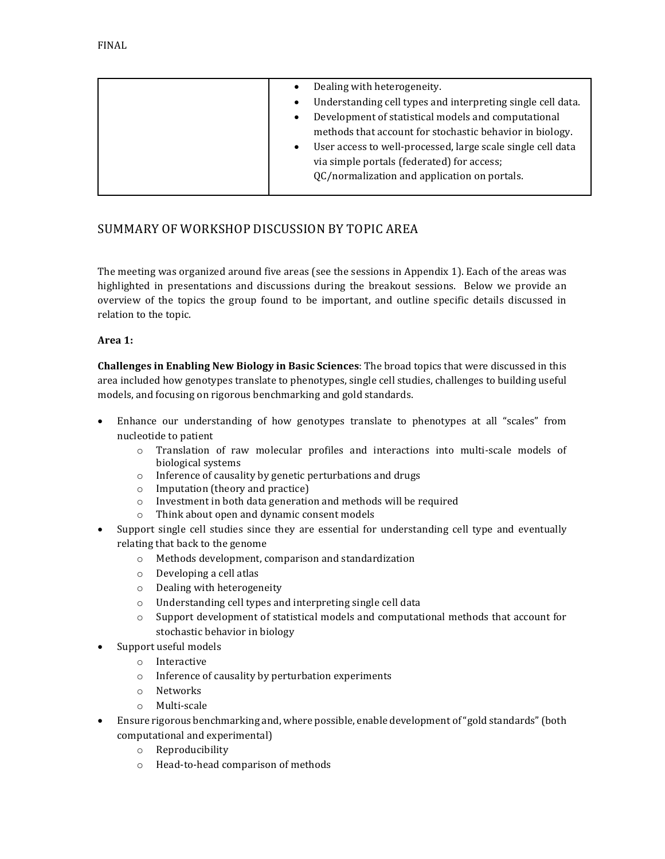| Dealing with heterogeneity.                                              |
|--------------------------------------------------------------------------|
| Understanding cell types and interpreting single cell data.              |
| Development of statistical models and computational<br>$\bullet$         |
| methods that account for stochastic behavior in biology.                 |
| User access to well-processed, large scale single cell data<br>$\bullet$ |
| via simple portals (federated) for access;                               |
| QC/normalization and application on portals.                             |
|                                                                          |

## SUMMARY OF WORKSHOP DISCUSSION BY TOPIC AREA

The meeting was organized around five areas (see the sessions in Appendix 1). Each of the areas was highlighted in presentations and discussions during the breakout sessions. Below we provide an overview of the topics the group found to be important, and outline specific details discussed in relation to the topic.

#### **Area 1:**

**Challenges in Enabling New Biology in Basic Sciences**: The broad topics that were discussed in this area included how genotypes translate to phenotypes, single cell studies, challenges to building useful models, and focusing on rigorous benchmarking and gold standards.

- Enhance our understanding of how genotypes translate to phenotypes at all "scales" from nucleotide to patient
	- $\circ$  Translation of raw molecular profiles and interactions into multi-scale models of biological systems
	- $\circ$  Inference of causality by genetic perturbations and drugs
	- $\circ$  Imputation (theory and practice)
	- $\circ$  Investment in both data generation and methods will be required
	- $\circ$  Think about open and dynamic consent models
- Support single cell studies since they are essential for understanding cell type and eventually relating that back to the genome
	- $\circ$  Methods development, comparison and standardization
	- o Developing a cell atlas
	- $\circ$  Dealing with heterogeneity
	- o Understanding cell types and interpreting single cell data
	- $\circ$  Support development of statistical models and computational methods that account for stochastic behavior in biology
- Support useful models
	- o Interactive
	- $\circ$  Inference of causality by perturbation experiments
	- o Networks
	- o Multi-scale
- Ensure rigorous benchmarking and, where possible, enable development of "gold standards" (both computational and experimental)
	- o Reproducibility
	- o Head-to-head comparison of methods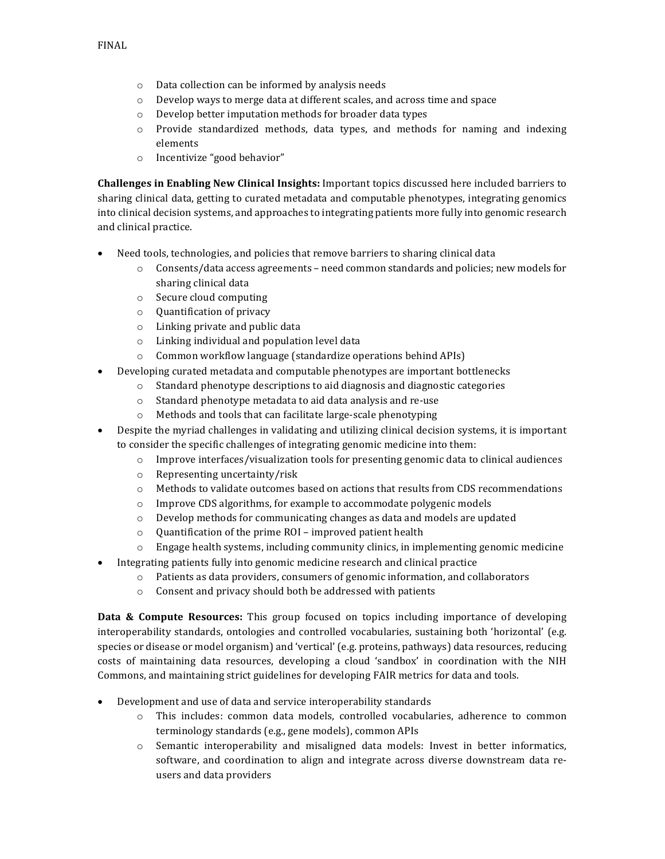- $\circ$  Data collection can be informed by analysis needs
- $\circ$  Develop ways to merge data at different scales, and across time and space
- o Develop better imputation methods for broader data types
- $\circ$  Provide standardized methods, data types, and methods for naming and indexing elements
- $\circ$  Incentivize "good behavior"

**Challenges in Enabling New Clinical Insights:** Important topics discussed here included barriers to sharing clinical data, getting to curated metadata and computable phenotypes, integrating genomics into clinical decision systems, and approaches to integrating patients more fully into genomic research and clinical practice.

- Need tools, technologies, and policies that remove barriers to sharing clinical data
	- $\circ$  Consents/data access agreements need common standards and policies; new models for sharing clinical data
	- $\circ$  Secure cloud computing
	- $\circ$  Quantification of privacy
	- $\circ$  Linking private and public data
	- $\circ$  Linking individual and population level data
	- $\circ$  Common workflow language (standardize operations behind APIs)
- Developing curated metadata and computable phenotypes are important bottlenecks
	- $\circ$  Standard phenotype descriptions to aid diagnosis and diagnostic categories
		- o Standard phenotype metadata to aid data analysis and re-use
		- o Methods and tools that can facilitate large-scale phenotyping
- Despite the myriad challenges in validating and utilizing clinical decision systems, it is important to consider the specific challenges of integrating genomic medicine into them:
	- $\circ$  Improve interfaces/visualization tools for presenting genomic data to clinical audiences
	- $\circ$  Representing uncertainty/risk
	- $\circ$  Methods to validate outcomes based on actions that results from CDS recommendations
	- $\circ$  Improve CDS algorithms, for example to accommodate polygenic models
	- $\circ$  Develop methods for communicating changes as data and models are updated
	- $\circ$  Quantification of the prime ROI improved patient health
	- $\circ$  Engage health systems, including community clinics, in implementing genomic medicine
- Integrating patients fully into genomic medicine research and clinical practice
	- $\circ$  Patients as data providers, consumers of genomic information, and collaborators
	- o Consent and privacy should both be addressed with patients

**Data & Compute Resources:** This group focused on topics including importance of developing interoperability standards, ontologies and controlled vocabularies, sustaining both 'horizontal' (e.g. species or disease or model organism) and 'vertical' (e.g. proteins, pathways) data resources, reducing costs of maintaining data resources, developing a cloud 'sandbox' in coordination with the NIH Commons, and maintaining strict guidelines for developing FAIR metrics for data and tools.

- Development and use of data and service interoperability standards
	- $\circ$  This includes: common data models, controlled vocabularies, adherence to common terminology standards (e.g., gene models), common APIs
	- $\circ$  Semantic interoperability and misaligned data models: Invest in better informatics, software, and coordination to align and integrate across diverse downstream data reusers and data providers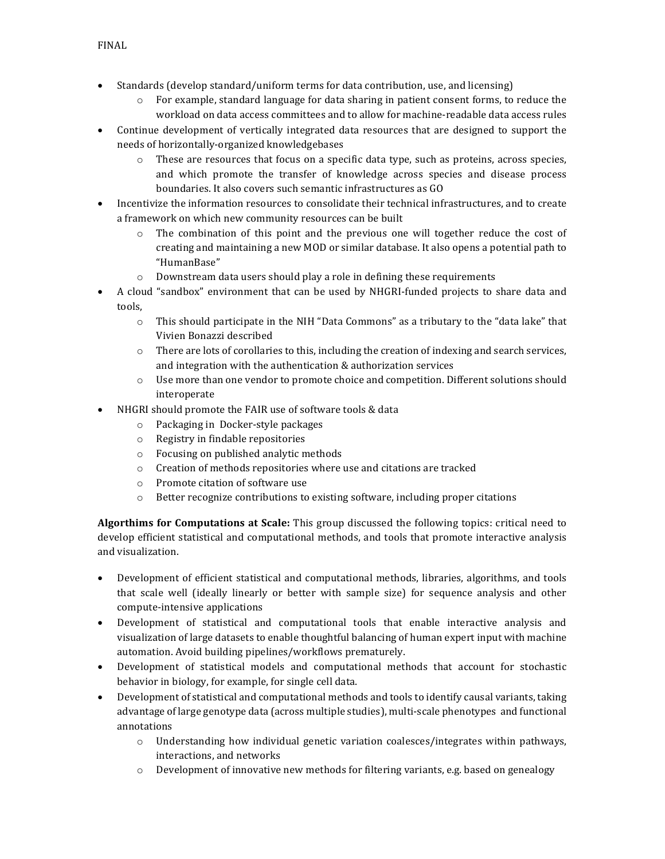- Standards (develop standard/uniform terms for data contribution, use, and licensing)
	- $\circ$  For example, standard language for data sharing in patient consent forms, to reduce the workload on data access committees and to allow for machine-readable data access rules
- Continue development of vertically integrated data resources that are designed to support the needs of horizontally-organized knowledgebases
	- $\circ$  These are resources that focus on a specific data type, such as proteins, across species, and which promote the transfer of knowledge across species and disease process boundaries. It also covers such semantic infrastructures as GO
- Incentivize the information resources to consolidate their technical infrastructures, and to create a framework on which new community resources can be built
	- $\circ$  The combination of this point and the previous one will together reduce the cost of creating and maintaining a new MOD or similar database. It also opens a potential path to "HumanBase"
	- $\circ$  Downstream data users should play a role in defining these requirements
- A cloud "sandbox" environment that can be used by NHGRI-funded projects to share data and tools,
	- $\circ$  This should participate in the NIH "Data Commons" as a tributary to the "data lake" that Vivien Bonazzi described
	- $\circ$  There are lots of corollaries to this, including the creation of indexing and search services, and integration with the authentication & authorization services
	- $\circ$  Use more than one vendor to promote choice and competition. Different solutions should interoperate
- NHGRI should promote the FAIR use of software tools & data
	- o Packaging in Docker-style packages
	- $\circ$  Registry in findable repositories
	- o Focusing on published analytic methods
	- $\circ$  Creation of methods repositories where use and citations are tracked
	- o Promote citation of software use
	- $\circ$  Better recognize contributions to existing software, including proper citations

**Algorthims for Computations at Scale:** This group discussed the following topics: critical need to develop efficient statistical and computational methods, and tools that promote interactive analysis and visualization.

- Development of efficient statistical and computational methods, libraries, algorithms, and tools that scale well (ideally linearly or better with sample size) for sequence analysis and other compute-intensive applications
- Development of statistical and computational tools that enable interactive analysis and visualization of large datasets to enable thoughtful balancing of human expert input with machine automation. Avoid building pipelines/workflows prematurely.
- Development of statistical models and computational methods that account for stochastic behavior in biology, for example, for single cell data.
- Development of statistical and computational methods and tools to identify causal variants, taking advantage of large genotype data (across multiple studies), multi-scale phenotypes and functional annotations
	- $\circ$  Understanding how individual genetic variation coalesces/integrates within pathways, interactions, and networks
	- $\circ$  Development of innovative new methods for filtering variants, e.g. based on genealogy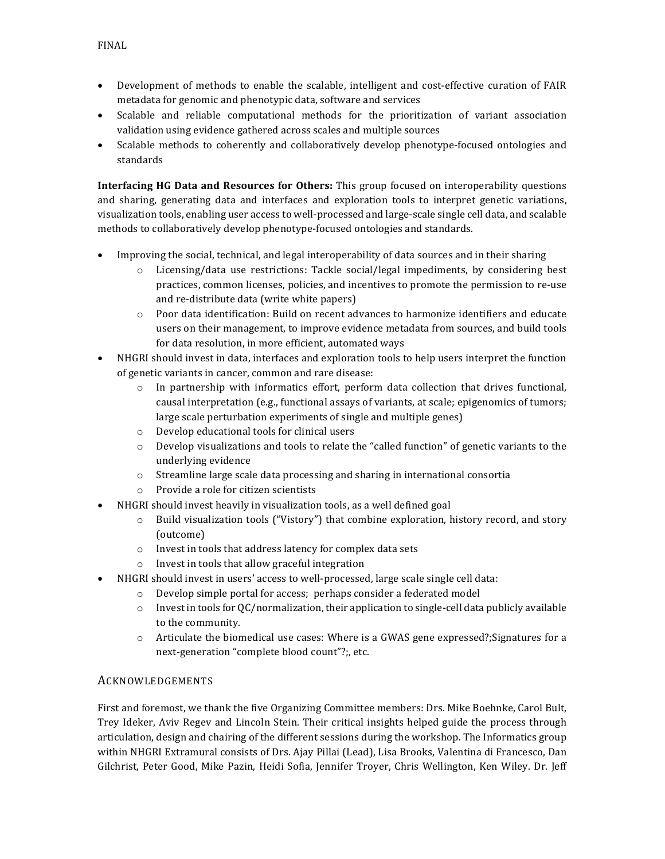- Development of methods to enable the scalable, intelligent and cost-effective curation of FAIR metadata for genomic and phenotypic data, software and services
- Scalable and reliable computational methods for the prioritization of variant association validation using evidence gathered across scales and multiple sources
- Scalable methods to coherently and collaboratively develop phenotype-focused ontologies and standards

**Interfacing HG Data and Resources for Others:** This group focused on interoperability questions and sharing, generating data and interfaces and exploration tools to interpret genetic variations, visualization tools, enabling user access to well-processed and large-scale single cell data, and scalable methods to collaboratively develop phenotype-focused ontologies and standards.

- Improving the social, technical, and legal interoperability of data sources and in their sharing
	- $\circ$  Licensing/data use restrictions: Tackle social/legal impediments, by considering best practices, common licenses, policies, and incentives to promote the permission to re-use and re-distribute data (write white papers)
	- $\circ$  Poor data identification: Build on recent advances to harmonize identifiers and educate users on their management, to improve evidence metadata from sources, and build tools for data resolution, in more efficient, automated ways
- NHGRI should invest in data, interfaces and exploration tools to help users interpret the function of genetic variants in cancer, common and rare disease:
	- $\circ$  In partnership with informatics effort, perform data collection that drives functional, causal interpretation (e.g., functional assays of variants, at scale; epigenomics of tumors; large scale perturbation experiments of single and multiple genes)
	- $\circ$  Develop educational tools for clinical users
	- $\circ$  Develop visualizations and tools to relate the "called function" of genetic variants to the underlying evidence
	- $\circ$  Streamline large scale data processing and sharing in international consortia
	- o Provide a role for citizen scientists
- NHGRI should invest heavily in visualization tools, as a well defined goal
	- $\circ$  Build visualization tools ("Vistory") that combine exploration, history record, and story (outcome)
	- o Invest in tools that address latency for complex data sets
	- $\circ$  Invest in tools that allow graceful integration
- NHGRI should invest in users' access to well-processed, large scale single cell data:
	- $\circ$  Develop simple portal for access; perhaps consider a federated model
	- $\circ$  Invest in tools for QC/normalization, their application to single-cell data publicly available to the community.
	- $\circ$  Articulate the biomedical use cases: Where is a GWAS gene expressed?; Signatures for a next-generation "complete blood count"?;, etc.

#### ACKNOWLEDGEMENTS

First and foremost, we thank the five Organizing Committee members: Drs. Mike Boehnke, Carol Bult, Trey Ideker, Aviv Regev and Lincoln Stein. Their critical insights helped guide the process through articulation, design and chairing of the different sessions during the workshop. The Informatics group within NHGRI Extramural consists of Drs. Ajay Pillai (Lead), Lisa Brooks, Valentina di Francesco, Dan Gilchrist, Peter Good, Mike Pazin, Heidi Sofia, Jennifer Troyer, Chris Wellington, Ken Wiley. Dr. Jeff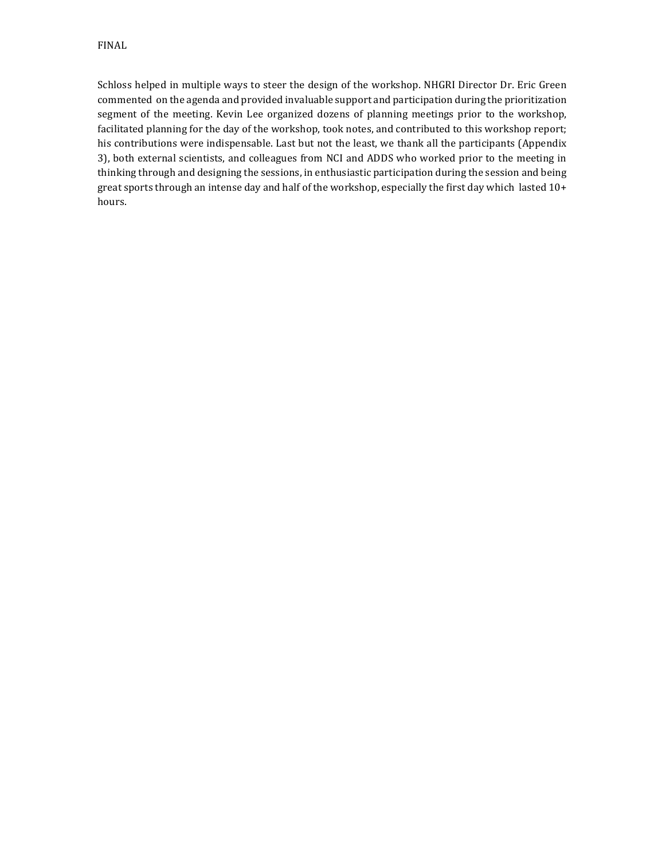Schloss helped in multiple ways to steer the design of the workshop. NHGRI Director Dr. Eric Green commented on the agenda and provided invaluable support and participation during the prioritization segment of the meeting. Kevin Lee organized dozens of planning meetings prior to the workshop, facilitated planning for the day of the workshop, took notes, and contributed to this workshop report; his contributions were indispensable. Last but not the least, we thank all the participants (Appendix 3), both external scientists, and colleagues from NCI and ADDS who worked prior to the meeting in thinking through and designing the sessions, in enthusiastic participation during the session and being great sports through an intense day and half of the workshop, especially the first day which lasted  $10+$ hours.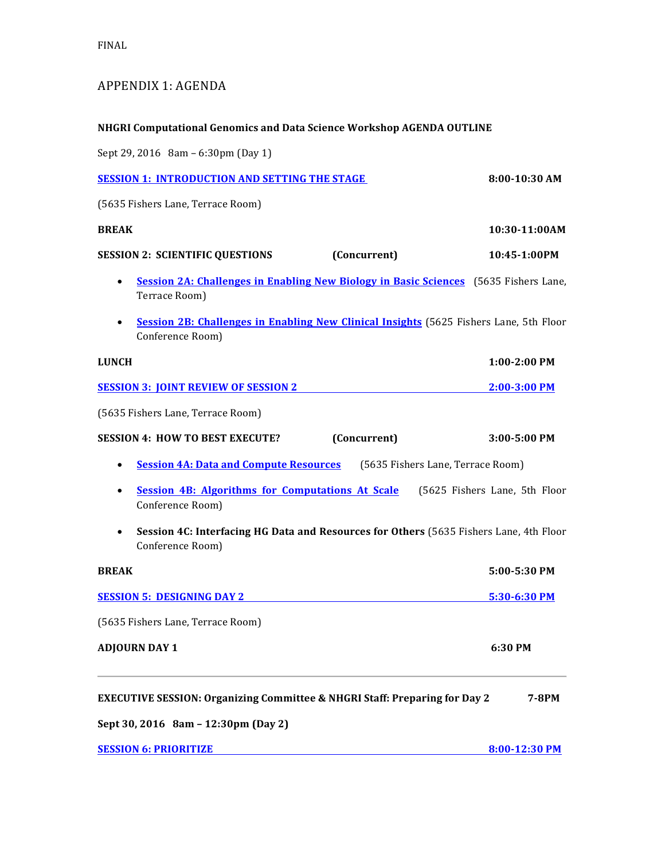# APPENDIX 1: AGENDA

# **NHGRI Computational Genomics and Data Science Workshop AGENDA OUTLINE**

Sept 29, 2016 8am - 6:30pm (Day 1)

| <b>SESSION 1: INTRODUCTION AND SETTING THE STAGE</b>                                                                    | 8:00-10:30 AM                 |
|-------------------------------------------------------------------------------------------------------------------------|-------------------------------|
| (5635 Fishers Lane, Terrace Room)                                                                                       |                               |
| <b>BREAK</b>                                                                                                            | 10:30-11:00AM                 |
| <b>SESSION 2: SCIENTIFIC QUESTIONS</b><br>(Concurrent)                                                                  | 10:45-1:00PM                  |
| Session 2A: Challenges in Enabling New Biology in Basic Sciences (5635 Fishers Lane,<br>Terrace Room)                   |                               |
| Session 2B: Challenges in Enabling New Clinical Insights (5625 Fishers Lane, 5th Floor<br>$\bullet$<br>Conference Room) |                               |
| <b>LUNCH</b>                                                                                                            | 1:00-2:00 PM                  |
| <b>SESSION 3: JOINT REVIEW OF SESSION 2</b>                                                                             | 2:00-3:00 PM                  |
| (5635 Fishers Lane, Terrace Room)                                                                                       |                               |
| <b>SESSION 4: HOW TO BEST EXECUTE?</b><br>(Concurrent)                                                                  | $3:00 - 5:00$ PM              |
| <b>Session 4A: Data and Compute Resources</b><br>(5635 Fishers Lane, Terrace Room)<br>$\bullet$                         |                               |
| <b>Session 4B: Algorithms for Computations At Scale</b><br>$\bullet$<br>Conference Room)                                | (5625 Fishers Lane, 5th Floor |
| Session 4C: Interfacing HG Data and Resources for Others (5635 Fishers Lane, 4th Floor<br>Conference Room)              |                               |
| <b>BREAK</b>                                                                                                            | 5:00-5:30 PM                  |
| <b>SESSION 5: DESIGNING DAY 2</b>                                                                                       | 5:30-6:30 PM                  |
| (5635 Fishers Lane, Terrace Room)                                                                                       |                               |
| <b>ADJOURN DAY 1</b>                                                                                                    | 6:30 PM                       |
| <b>EXECUTIVE SESSION: Organizing Committee &amp; NHGRI Staff: Preparing for Day 2</b>                                   | 7-8PM                         |

**Sept 30, 2016 8am – 12:30pm (Day 2)**

| <b>SESSION 6: PRIORITIZE</b> | 8:00-12:30 PM |
|------------------------------|---------------|
|                              |               |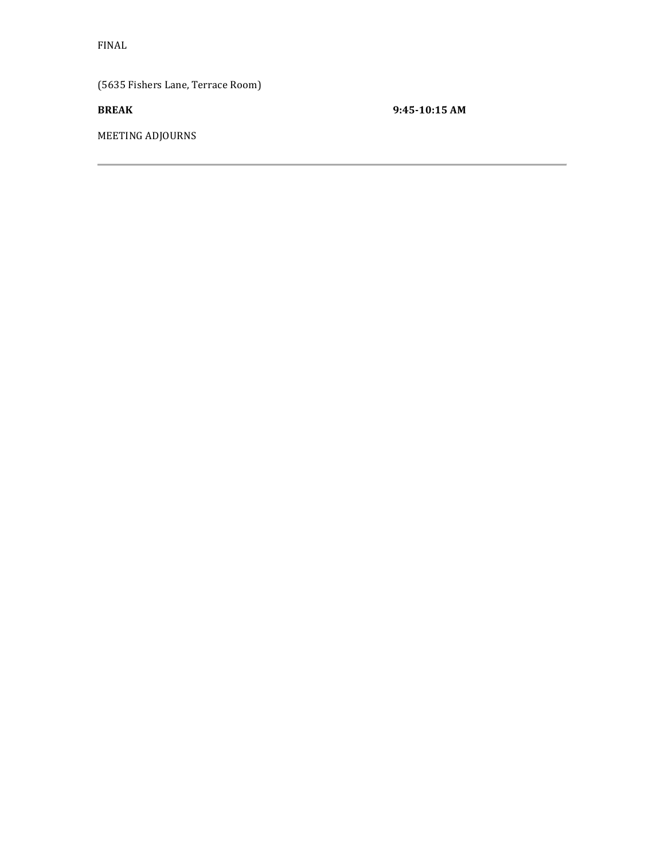(5635 Fishers Lane, Terrace Room)

**BREAK** 9:45-10:15 AM

MEETING ADJOURNS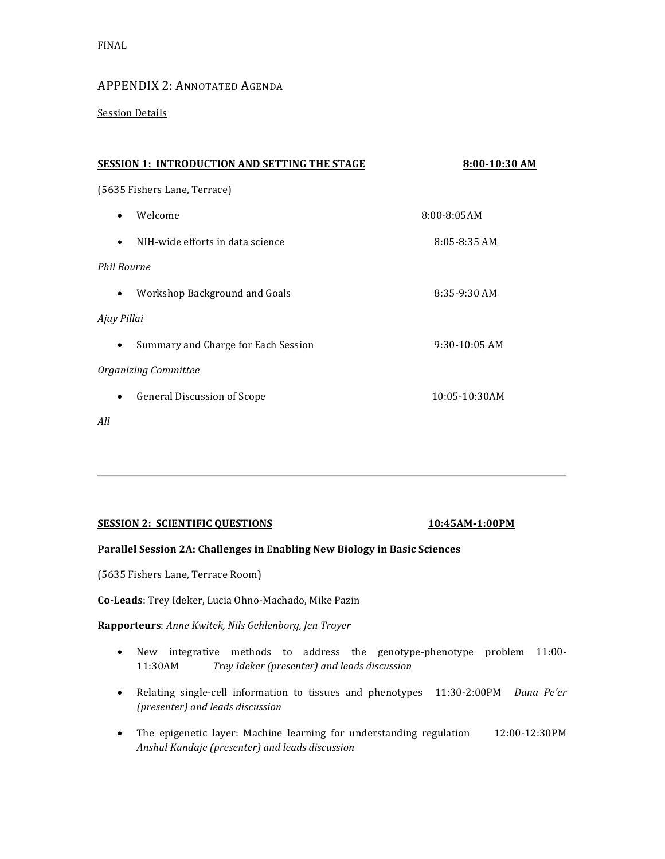### APPENDIX 2: ANNOTATED AGENDA

**Session Details** 

| <b>SESSION 1: INTRODUCTION AND SETTING THE STAGE</b> | 8:00-10:30 AM      |  |  |
|------------------------------------------------------|--------------------|--|--|
| (5635 Fishers Lane, Terrace)                         |                    |  |  |
| Welcome<br>٠                                         | $8:00 - 8:05AM$    |  |  |
| NIH-wide efforts in data science<br>$\bullet$        | $8:05 - 8:35$ AM   |  |  |
| <b>Phil Bourne</b>                                   |                    |  |  |
| Workshop Background and Goals<br>$\bullet$           | 8:35-9:30 AM       |  |  |
| Ajay Pillai                                          |                    |  |  |
| Summary and Charge for Each Session                  | $9:30-10:05$ AM    |  |  |
| Organizing Committee                                 |                    |  |  |
| <b>General Discussion of Scope</b><br>٠              | $10:05 - 10:30$ AM |  |  |
| All                                                  |                    |  |  |

#### **SESSION 2: SCIENTIFIC QUESTIONS 10:45AM-1:00PM**

#### Parallel Session 2A: Challenges in Enabling New Biology in Basic Sciences

(5635 Fishers Lane, Terrace Room)

**Co-Leads**: Trey Ideker, Lucia Ohno-Machado, Mike Pazin

**Rapporteurs**: *Anne Kwitek, Nils Gehlenborg, Jen Troyer*

- New integrative methods to address the genotype-phenotype problem 11:00-11:30AM *Trey Ideker (presenter) and leads discussion*
- Relating single-cell information to tissues and phenotypes 11:30-2:00PM *Dana Pe'er (presenter) and leads discussion*
- The epigenetic layer: Machine learning for understanding regulation 12:00-12:30PM *Anshul Kundaje (presenter) and leads discussion*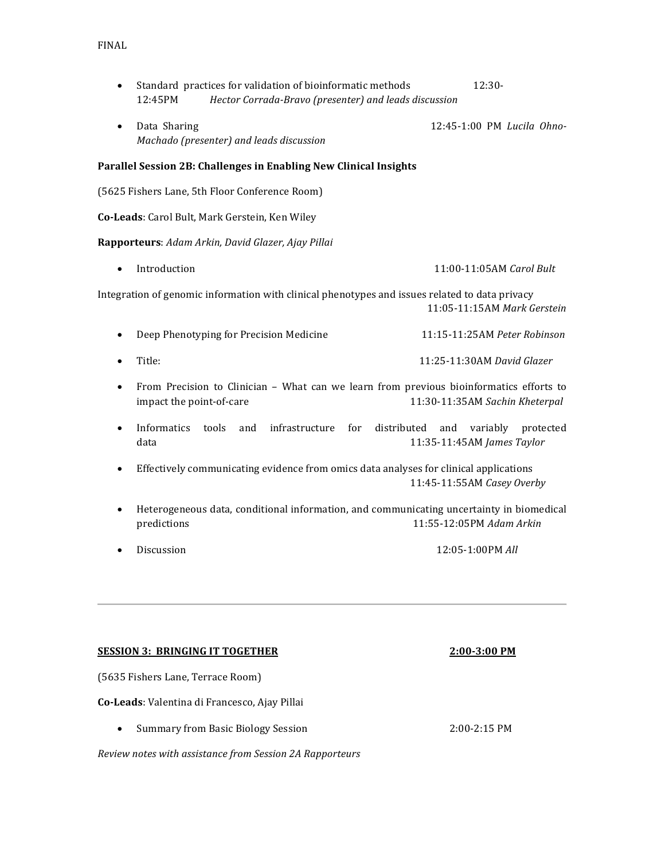- Standard practices for validation of bioinformatic methods 12:30-12:45PM *Hector Corrada-Bravo (presenter) and leads discussion*
- Data Sharing **12:45-1:00 PM** *Lucila Ohno-Machado (presenter) and leads discussion*

#### Parallel Session 2B: Challenges in Enabling New Clinical Insights

(5625 Fishers Lane, 5th Floor Conference Room)

**Co-Leads:** Carol Bult, Mark Gerstein, Ken Wiley

#### **Rapporteurs**: *Adam Arkin, David Glazer, Ajay Pillai*

• Introduction **11:00-11:05AM** *Carol Bult* 

Integration of genomic information with clinical phenotypes and issues related to data privacy 11:05-11:15AM *Mark Gerstein*

- Deep Phenotyping for Precision Medicine 11:15-11:25AM *Peter Robinson*
- Title: Title: **11:25-11:30AM** *David Glazer*
- From Precision to Clinician What can we learn from previous bioinformatics efforts to impact the point-of-care **11:30-11:35AM** Sachin Kheterpal
- Informatics tools and infrastructure for distributed and variably protected data 11:35-11:45AM *James Taylor*
- Effectively communicating evidence from omics data analyses for clinical applications 11:45-11:55AM *Casey Overby*
- Heterogeneous data, conditional information, and communicating uncertainty in biomedical predictions **11:55-12:05PM** *Adam Arkin*
- 

• Discussion 12:05-1:00PM *All*

#### **SESSION 3: BRINGING IT TOGETHER**  2:00-3:00 PM

(5635 Fishers Lane, Terrace Room)

**Co-Leads**: Valentina di Francesco, Ajay Pillai

• Summary from Basic Biology Session 2:00-2:15 PM

*Review notes with assistance from Session 2A Rapporteurs*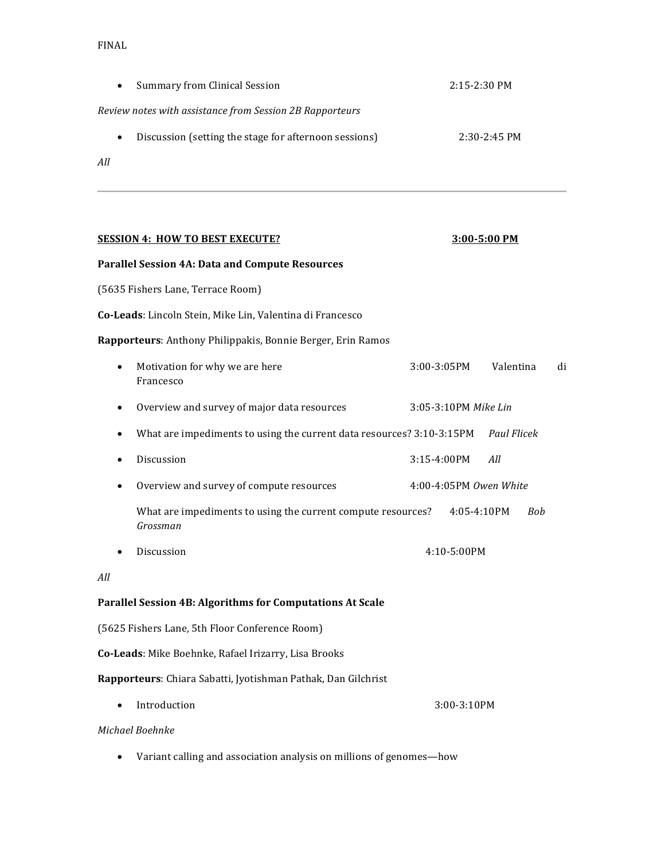| Summary from Clinical Session<br>$2:15-2:30$ PM<br>$\bullet$       |                |  |  |
|--------------------------------------------------------------------|----------------|--|--|
| Review notes with assistance from Session 2B Rapporteurs           |                |  |  |
| Discussion (setting the stage for afternoon sessions)<br>$\bullet$ | $2:30-2:45$ PM |  |  |
| All                                                                |                |  |  |

| <b>SESSION 4: HOW TO BEST EXECUTE?</b>                                             | 3:00-5:00 PM             |    |  |  |
|------------------------------------------------------------------------------------|--------------------------|----|--|--|
| <b>Parallel Session 4A: Data and Compute Resources</b>                             |                          |    |  |  |
| (5635 Fishers Lane, Terrace Room)                                                  |                          |    |  |  |
| Co-Leads: Lincoln Stein, Mike Lin, Valentina di Francesco                          |                          |    |  |  |
| Rapporteurs: Anthony Philippakis, Bonnie Berger, Erin Ramos                        |                          |    |  |  |
| Motivation for why we are here<br>Francesco                                        | Valentina<br>3:00-3:05PM | di |  |  |
| Overview and survey of major data resources                                        | 3:05-3:10PM Mike Lin     |    |  |  |
| What are impediments to using the current data resources? 3:10-3:15PM<br>$\bullet$ | <b>Paul Flicek</b>       |    |  |  |
| Discussion                                                                         | 3:15-4:00PM<br>All       |    |  |  |
| Overview and survey of compute resources<br>٠                                      | 4:00-4:05PM Owen White   |    |  |  |
| What are impediments to using the current compute resources?<br>Grossman           | 4:05-4:10PM<br>Bob       |    |  |  |
| Discussion                                                                         | 4:10-5:00PM              |    |  |  |
| All                                                                                |                          |    |  |  |
| Parallel Session 4B: Algorithms for Computations At Scale                          |                          |    |  |  |
| (5625 Fishers Lane, 5th Floor Conference Room)                                     |                          |    |  |  |
| Co-Leads: Mike Boehnke, Rafael Irizarry, Lisa Brooks                               |                          |    |  |  |
| Rapporteurs: Chiara Sabatti, Jyotishman Pathak, Dan Gilchrist                      |                          |    |  |  |
| Introduction                                                                       | 3:00-3:10PM              |    |  |  |
| Michael Boehnke                                                                    |                          |    |  |  |

• Variant calling and association analysis on millions of genomes—how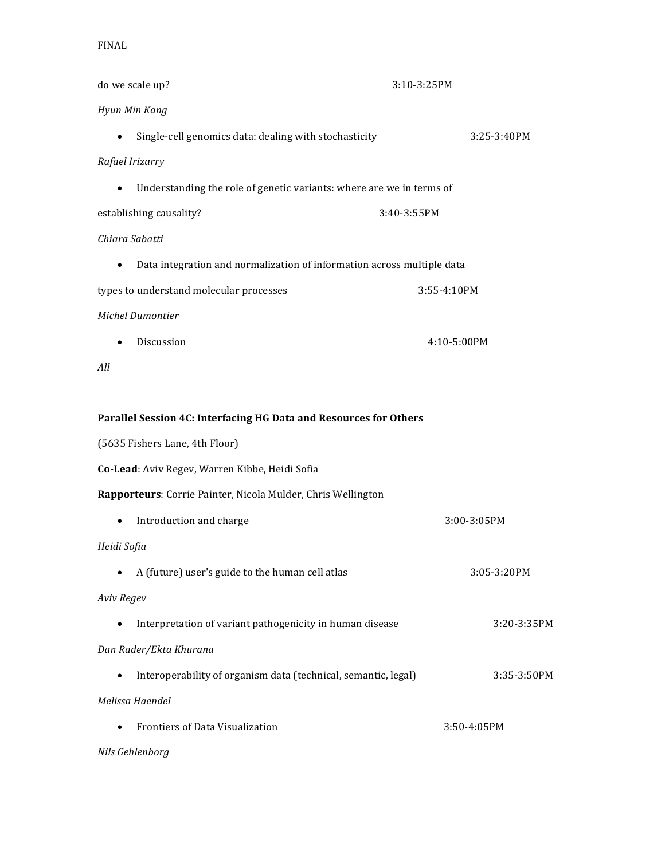| do we scale up?                                                                     | 3:10-3:25PM   |
|-------------------------------------------------------------------------------------|---------------|
| Hyun Min Kang                                                                       |               |
| Single-cell genomics data: dealing with stochasticity<br>$\bullet$                  | $3:25-3:40PM$ |
| Rafael Irizarry                                                                     |               |
| Understanding the role of genetic variants: where are we in terms of<br>$\bullet$   |               |
| establishing causality?                                                             | 3:40-3:55PM   |
| Chiara Sabatti                                                                      |               |
| Data integration and normalization of information across multiple data<br>$\bullet$ |               |
| types to understand molecular processes                                             | 3:55-4:10PM   |
| Michel Dumontier                                                                    |               |
| Discussion<br>$\bullet$                                                             | 4:10-5:00PM   |
| All                                                                                 |               |
|                                                                                     |               |
| Parallel Session 4C: Interfacing HG Data and Resources for Others                   |               |
| (5635 Fishers Lane, 4th Floor)                                                      |               |
| Co-Lead: Aviv Regev, Warren Kibbe, Heidi Sofia                                      |               |
| Rapporteurs: Corrie Painter, Nicola Mulder, Chris Wellington                        |               |
| Introduction and charge<br>$\bullet$                                                | 3:00-3:05PM   |
| Heidi Sofia                                                                         |               |
| A (future) user's guide to the human cell atlas                                     | 3:05-3:20PM   |
| Aviv Regev                                                                          |               |
| Interpretation of variant pathogenicity in human disease<br>$\bullet$               | 3:20-3:35PM   |
| Dan Rader/Ekta Khurana                                                              |               |
| Interoperability of organism data (technical, semantic, legal)<br>$\bullet$         | 3:35-3:50PM   |
| Melissa Haendel                                                                     |               |
| Frontiers of Data Visualization<br>$\bullet$                                        | 3:50-4:05PM   |
| Nils Gehlenborg                                                                     |               |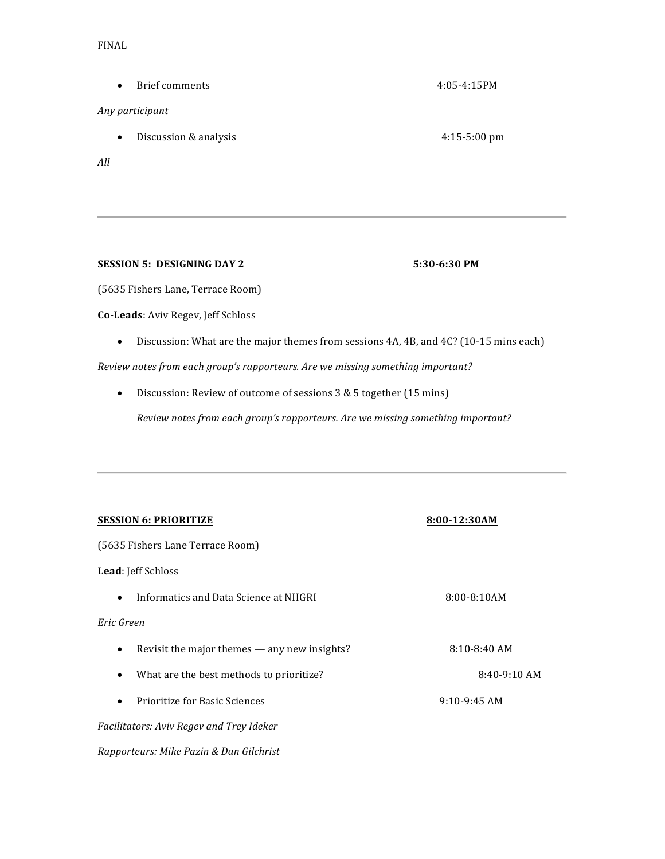• Brief comments 4:05-4:15PM

#### *Any participant*

• Discussion & analysis 4:15-5:00 pm

*All*

#### **SESSION 5: DESIGNING DAY 2** 5:30-6:30 PM

#### (5635 Fishers Lane, Terrace Room)

**Co-Leads**: Aviv Regev, Jeff Schloss

• Discussion: What are the major themes from sessions 4A, 4B, and 4C? (10-15 mins each)

*Review notes from each group's rapporteurs. Are we missing something important?*

• Discussion: Review of outcome of sessions 3 & 5 together (15 mins)

*Review notes from each group's rapporteurs. Are we missing something important?* 

| <b>SESSION 6: PRIORITIZE</b>                              | 8:00-12:30AM     |  |  |
|-----------------------------------------------------------|------------------|--|--|
| (5635 Fishers Lane Terrace Room)                          |                  |  |  |
| <b>Lead:</b> Jeff Schloss                                 |                  |  |  |
| Informatics and Data Science at NHGRI<br>$\bullet$        | $8:00 - 8:10AM$  |  |  |
| Eric Green                                                |                  |  |  |
| Revisit the major themes - any new insights?<br>$\bullet$ | $8:10 - 8:40$ AM |  |  |
| What are the best methods to prioritize?<br>$\bullet$     | $8:40-9:10$ AM   |  |  |
| Prioritize for Basic Sciences<br>$\bullet$                | $9:10-9:45$ AM   |  |  |
| Facilitators: Aviv Regev and Trey Ideker                  |                  |  |  |
| Rapporteurs: Mike Pazin & Dan Gilchrist                   |                  |  |  |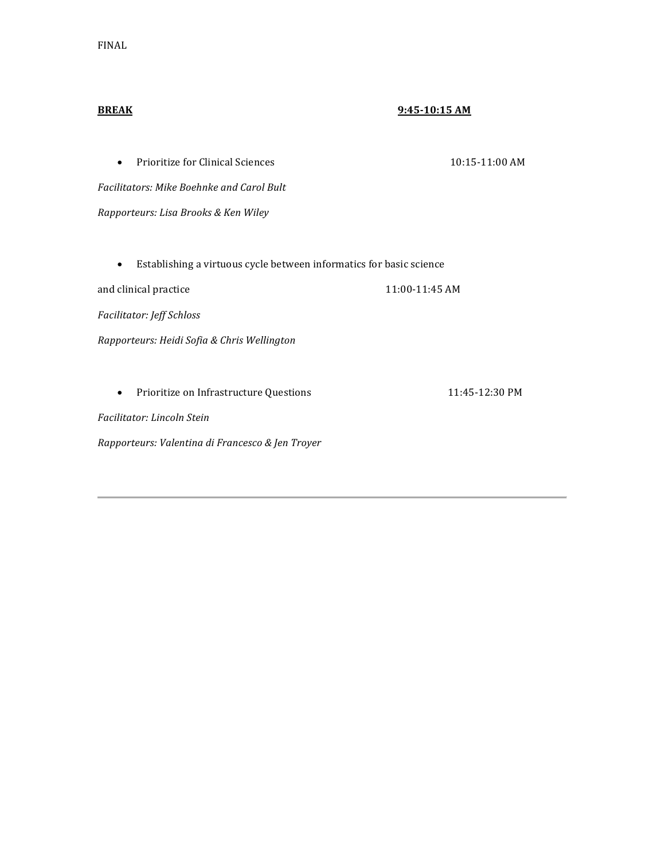#### **BREAK 9:45-10:15 AM**

• Prioritize for Clinical Sciences 10:15-11:00 AM

*Facilitators: Mike Boehnke and Carol Bult*

*Rapporteurs: Lisa Brooks & Ken Wiley*

• Establishing a virtuous cycle between informatics for basic science

and clinical practice  $11:00-11:45$  AM

*Facilitator: Jeff Schloss*

*Rapporteurs: Heidi Sofia & Chris Wellington*

• Prioritize on Infrastructure Questions 11:45-12:30 PM

*Facilitator: Lincoln Stein*

*Rapporteurs: Valentina di Francesco & Jen Troyer*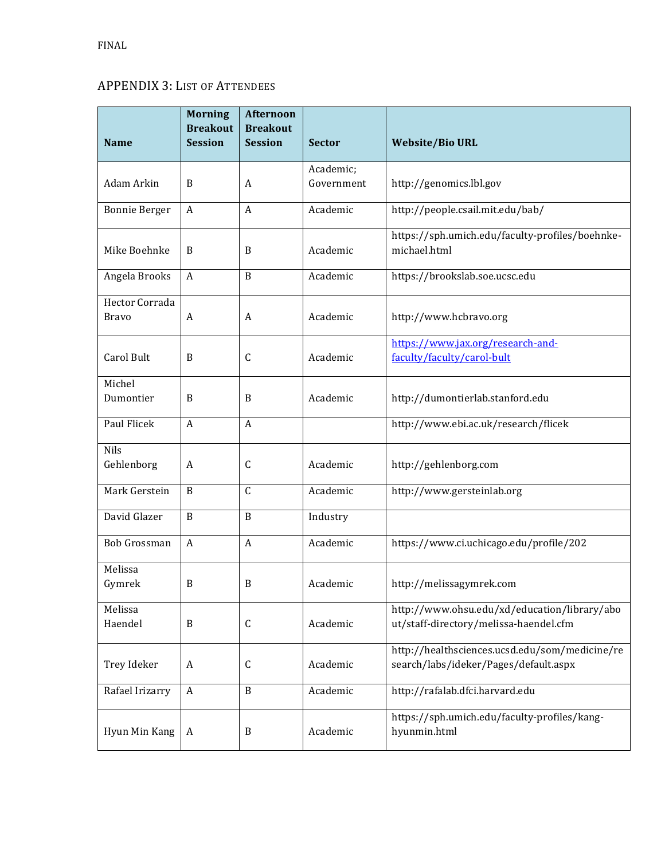# APPENDIX 3: LIST OF ATTENDEES

|                      | <b>Morning</b><br><b>Breakout</b> | <b>Afternoon</b><br><b>Breakout</b> |               |                                                                 |
|----------------------|-----------------------------------|-------------------------------------|---------------|-----------------------------------------------------------------|
| <b>Name</b>          | <b>Session</b>                    | <b>Session</b>                      | <b>Sector</b> | <b>Website/Bio URL</b>                                          |
|                      |                                   |                                     | Academic;     |                                                                 |
| Adam Arkin           | B                                 | A                                   | Government    | http://genomics.lbl.gov                                         |
| <b>Bonnie Berger</b> | A                                 | A                                   | Academic      | http://people.csail.mit.edu/bab/                                |
| Mike Boehnke         | B                                 | B                                   | Academic      | https://sph.umich.edu/faculty-profiles/boehnke-<br>michael.html |
| Angela Brooks        | $\boldsymbol{A}$                  | B                                   | Academic      | https://brookslab.soe.ucsc.edu                                  |
| Hector Corrada       |                                   |                                     |               |                                                                 |
| <b>Bravo</b>         | A                                 | A                                   | Academic      | http://www.hcbravo.org                                          |
|                      |                                   |                                     |               | https://www.jax.org/research-and-                               |
| Carol Bult           | B                                 | $\mathsf C$                         | Academic      | faculty/faculty/carol-bult                                      |
| Michel               |                                   |                                     |               |                                                                 |
| Dumontier            | B                                 | B                                   | Academic      | http://dumontierlab.stanford.edu                                |
| Paul Flicek          | $\boldsymbol{A}$                  | A                                   |               | http://www.ebi.ac.uk/research/flicek                            |
| <b>Nils</b>          |                                   |                                     |               |                                                                 |
| Gehlenborg           | A                                 | C                                   | Academic      | http://gehlenborg.com                                           |
| Mark Gerstein        | B                                 | $\mathsf{C}$                        | Academic      | http://www.gersteinlab.org                                      |
| David Glazer         | $\, {\bf B}$                      | B                                   | Industry      |                                                                 |
| Bob Grossman         | $\boldsymbol{A}$                  | $\boldsymbol{A}$                    | Academic      | https://www.ci.uchicago.edu/profile/202                         |
| Melissa              |                                   |                                     |               |                                                                 |
| Gymrek               | B                                 | B                                   | Academic      | http://melissagymrek.com                                        |
| Melissa              |                                   |                                     |               | http://www.ohsu.edu/xd/education/library/abo                    |
| Haendel              | B                                 | $\mathsf C$                         | Academic      | ut/staff-directory/melissa-haendel.cfm                          |
|                      |                                   |                                     |               | http://healthsciences.ucsd.edu/som/medicine/re                  |
| Trey Ideker          | A                                 | С                                   | Academic      | search/labs/ideker/Pages/default.aspx                           |
| Rafael Irizarry      | $\boldsymbol{A}$                  | B                                   | Academic      | http://rafalab.dfci.harvard.edu                                 |
| Hyun Min Kang        | A                                 | B                                   | Academic      | https://sph.umich.edu/faculty-profiles/kang-<br>hyunmin.html    |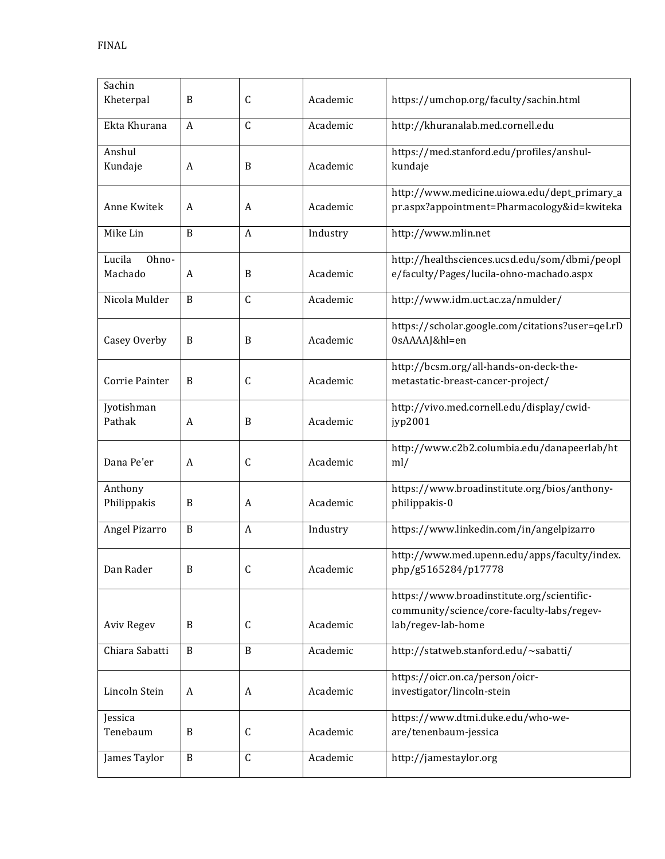| Sachin<br>Kheterpal        | B            | $\mathsf C$  | Academic | https://umchop.org/faculty/sachin.html                                                                         |
|----------------------------|--------------|--------------|----------|----------------------------------------------------------------------------------------------------------------|
| Ekta Khurana               | A            | $\mathsf{C}$ | Academic | http://khuranalab.med.cornell.edu                                                                              |
| Anshul<br>Kundaje          | A            | B            | Academic | https://med.stanford.edu/profiles/anshul-<br>kundaje                                                           |
| Anne Kwitek                | A            | A            | Academic | http://www.medicine.uiowa.edu/dept_primary_a<br>pr.aspx?appointment=Pharmacology&id=kwiteka                    |
| Mike Lin                   | B            | A            | Industry | http://www.mlin.net                                                                                            |
| Lucila<br>Ohno-<br>Machado | A            | B            | Academic | http://healthsciences.ucsd.edu/som/dbmi/peopl<br>e/faculty/Pages/lucila-ohno-machado.aspx                      |
| Nicola Mulder              | B            | $\mathsf C$  | Academic | http://www.idm.uct.ac.za/nmulder/                                                                              |
| Casey Overby               | B            | B            | Academic | https://scholar.google.com/citations?user=qeLrD<br>0sAAAAJ&hl=en                                               |
| Corrie Painter             | B            | C            | Academic | http://bcsm.org/all-hands-on-deck-the-<br>metastatic-breast-cancer-project/                                    |
| Jyotishman<br>Pathak       | A            | B            | Academic | http://vivo.med.cornell.edu/display/cwid-<br>jyp2001                                                           |
| Dana Pe'er                 | A            | $\mathsf C$  | Academic | http://www.c2b2.columbia.edu/danapeerlab/ht<br>ml/                                                             |
| Anthony<br>Philippakis     | B            | A            | Academic | https://www.broadinstitute.org/bios/anthony-<br>philippakis-0                                                  |
| Angel Pizarro              | B            | A            | Industry | https://www.linkedin.com/in/angelpizarro                                                                       |
| Dan Rader                  | В            | C            | Academic | http://www.med.upenn.edu/apps/faculty/index.<br>php/g5165284/p17778                                            |
| <b>Aviv Regev</b>          | B            | $\mathsf C$  | Academic | https://www.broadinstitute.org/scientific-<br>community/science/core-faculty-labs/regev-<br>lab/regev-lab-home |
| Chiara Sabatti             | B            | B            | Academic | http://statweb.stanford.edu/~sabatti/                                                                          |
| Lincoln Stein              | A            | A            | Academic | https://oicr.on.ca/person/oicr-<br>investigator/lincoln-stein                                                  |
| Jessica<br>Tenebaum        | B            | С            | Academic | https://www.dtmi.duke.edu/who-we-<br>are/tenenbaum-jessica                                                     |
|                            | $\, {\bf B}$ | C            |          |                                                                                                                |
| James Taylor               |              |              | Academic | http://jamestaylor.org                                                                                         |